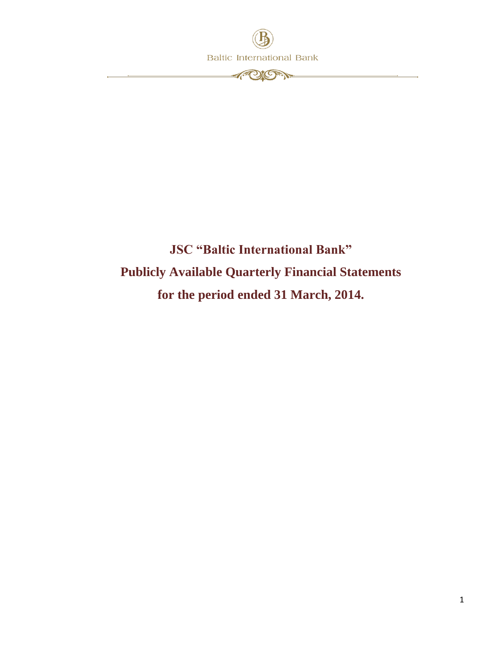

## **JSC "Baltic International Bank" Publicly Available Quarterly Financial Statements for the period ended 31 March, 2014.**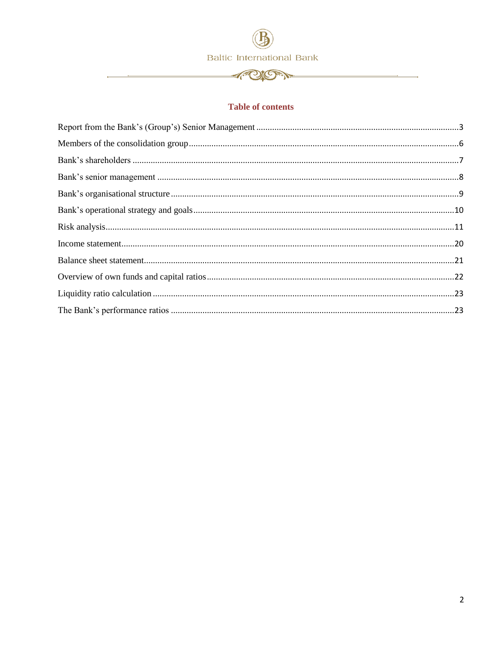**APION** 

#### **Table of contents**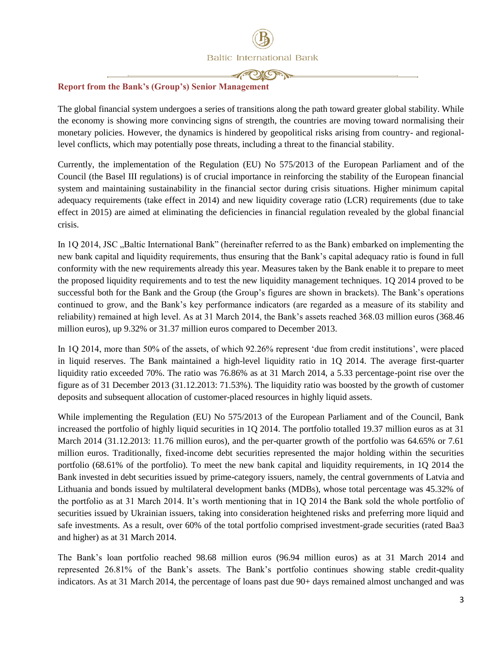

#### <span id="page-2-0"></span>**Report from the Bank's (Group's) Senior Management**

The global financial system undergoes a series of transitions along the path toward greater global stability. While the economy is showing more convincing signs of strength, the countries are moving toward normalising their monetary policies. However, the dynamics is hindered by geopolitical risks arising from country- and regionallevel conflicts, which may potentially pose threats, including a threat to the financial stability.

Currently, the implementation of the Regulation (EU) No 575/2013 of the European Parliament and of the Council (the Basel III regulations) is of crucial importance in reinforcing the stability of the European financial system and maintaining sustainability in the financial sector during crisis situations. Higher minimum capital adequacy requirements (take effect in 2014) and new liquidity coverage ratio (LCR) requirements (due to take effect in 2015) are aimed at eliminating the deficiencies in financial regulation revealed by the global financial crisis.

In 1Q 2014, JSC . Baltic International Bank" (hereinafter referred to as the Bank) embarked on implementing the new bank capital and liquidity requirements, thus ensuring that the Bank's capital adequacy ratio is found in full conformity with the new requirements already this year. Measures taken by the Bank enable it to prepare to meet the proposed liquidity requirements and to test the new liquidity management techniques. 1Q 2014 proved to be successful both for the Bank and the Group (the Group's figures are shown in brackets). The Bank's operations continued to grow, and the Bank's key performance indicators (are regarded as a measure of its stability and reliability) remained at high level. As at 31 March 2014, the Bank's assets reached 368.03 million euros (368.46 million euros), up 9.32% or 31.37 million euros compared to December 2013.

In 1Q 2014, more than 50% of the assets, of which 92.26% represent 'due from credit institutions', were placed in liquid reserves. The Bank maintained a high-level liquidity ratio in 1Q 2014. The average first-quarter liquidity ratio exceeded 70%. The ratio was 76.86% as at 31 March 2014, a 5.33 percentage-point rise over the figure as of 31 December 2013 (31.12.2013: 71.53%). The liquidity ratio was boosted by the growth of customer deposits and subsequent allocation of customer-placed resources in highly liquid assets.

While implementing the Regulation (EU) No 575/2013 of the European Parliament and of the Council, Bank increased the portfolio of highly liquid securities in 1Q 2014. The portfolio totalled 19.37 million euros as at 31 March 2014 (31.12.2013: 11.76 million euros), and the per-quarter growth of the portfolio was 64.65% or 7.61 million euros. Traditionally, fixed-income debt securities represented the major holding within the securities portfolio (68.61% of the portfolio). To meet the new bank capital and liquidity requirements, in 1Q 2014 the Bank invested in debt securities issued by prime-category issuers, namely, the central governments of Latvia and Lithuania and bonds issued by multilateral development banks (MDBs), whose total percentage was 45.32% of the portfolio as at 31 March 2014. It's worth mentioning that in 1Q 2014 the Bank sold the whole portfolio of securities issued by Ukrainian issuers, taking into consideration heightened risks and preferring more liquid and safe investments. As a result, over 60% of the total portfolio comprised investment-grade securities (rated Baa3 and higher) as at 31 March 2014.

The Bank's loan portfolio reached 98.68 million euros (96.94 million euros) as at 31 March 2014 and represented 26.81% of the Bank's assets. The Bank's portfolio continues showing stable credit-quality indicators. As at 31 March 2014, the percentage of loans past due 90+ days remained almost unchanged and was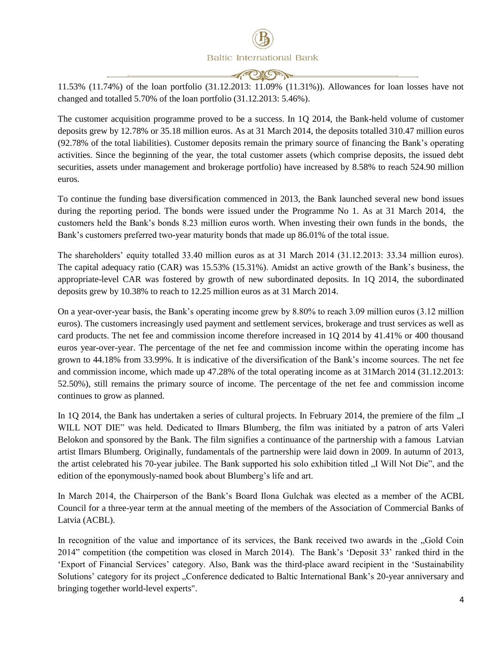**MOKAN** 

11.53% (11.74%) of the loan portfolio (31.12.2013: 11.09% (11.31%)). Allowances for loan losses have not changed and totalled 5.70% of the loan portfolio (31.12.2013: 5.46%).

The customer acquisition programme proved to be a success. In 1Q 2014, the Bank-held volume of customer deposits grew by 12.78% or 35.18 million euros. As at 31 March 2014, the deposits totalled 310.47 million euros (92.78% of the total liabilities). Customer deposits remain the primary source of financing the Bank's operating activities. Since the beginning of the year, the total customer assets (which comprise deposits, the issued debt securities, assets under management and brokerage portfolio) have increased by 8.58% to reach 524.90 million euros.

To continue the funding base diversification commenced in 2013, the Bank launched several new bond issues during the reporting period. The bonds were issued under the Programme No 1. As at 31 March 2014, the customers held the Bank's bonds 8.23 million euros worth. When investing their own funds in the bonds, the Bank's customers preferred two-year maturity bonds that made up 86.01% of the total issue.

The shareholders' equity totalled 33.40 million euros as at 31 March 2014 (31.12.2013: 33.34 million euros). The capital adequacy ratio (CAR) was 15.53% (15.31%). Amidst an active growth of the Bank's business, the appropriate-level CAR was fostered by growth of new subordinated deposits. In 1Q 2014, the subordinated deposits grew by 10.38% to reach to 12.25 million euros as at 31 March 2014.

On a year-over-year basis, the Bank's operating income grew by 8.80% to reach 3.09 million euros (3.12 million euros). The customers increasingly used payment and settlement services, brokerage and trust services as well as card products. The net fee and commission income therefore increased in 1Q 2014 by 41.41% or 400 thousand euros year-over-year. The percentage of the net fee and commission income within the operating income has grown to 44.18% from 33.99%. It is indicative of the diversification of the Bank's income sources. The net fee and commission income, which made up 47.28% of the total operating income as at 31March 2014 (31.12.2013: 52.50%), still remains the primary source of income. The percentage of the net fee and commission income continues to grow as planned.

In 1Q 2014, the Bank has undertaken a series of cultural projects. In February 2014, the premiere of the film "I WILL NOT DIE" was held. Dedicated to Ilmars Blumberg, the film was initiated by a patron of arts Valeri Belokon and sponsored by the Bank. The film signifies a continuance of the partnership with a famous Latvian artist Ilmars Blumberg. Originally, fundamentals of the partnership were laid down in 2009. In autumn of 2013, the artist celebrated his 70-year jubilee. The Bank supported his solo exhibition titled "I Will Not Die", and the edition of the eponymously-named book about Blumberg's life and art.

In March 2014, the Chairperson of the Bank's Board Ilona Gulchak was elected as a member of the ACBL Council for a three-year term at the annual meeting of the members of the Association of Commercial Banks of Latvia (ACBL).

In recognition of the value and importance of its services, the Bank received two awards in the "Gold Coin 2014" competition (the competition was closed in March 2014). The Bank's 'Deposit 33' ranked third in the 'Export of Financial Services' category. Also, Bank was the third-place award recipient in the 'Sustainability Solutions' category for its project . Conference dedicated to Baltic International Bank's 20-year anniversary and bringing together world-level experts".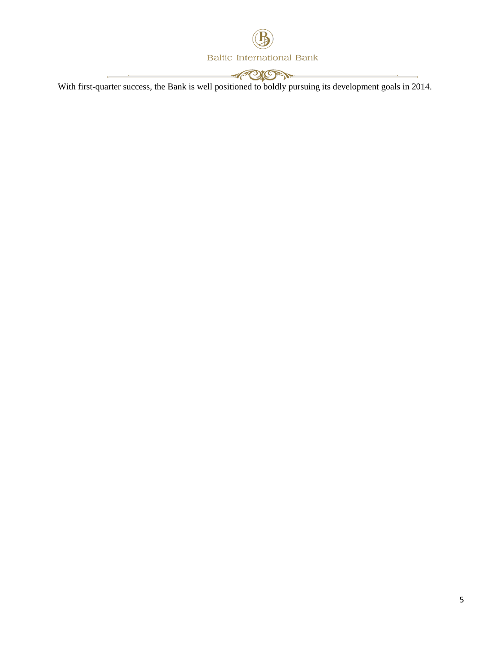

With first-quarter success, the Bank is well positioned to boldly pursuing its development goals in 2014.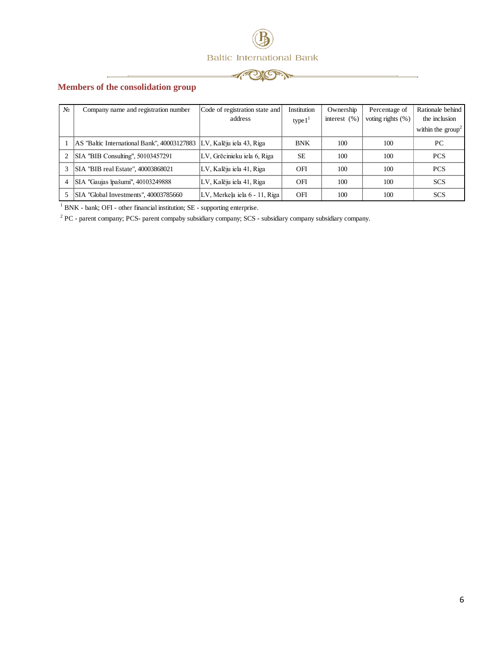



#### <span id="page-5-0"></span>**Members of the consolidation group**

×

| $N_2$ | Company name and registration number                                 | Code of registration state and | Institution | Ownership        | Percentage of     | Rationale behind              |
|-------|----------------------------------------------------------------------|--------------------------------|-------------|------------------|-------------------|-------------------------------|
|       |                                                                      | address                        | type $11$   | interest $(\% )$ | voting rights (%) | the inclusion                 |
|       |                                                                      |                                |             |                  |                   | within the $\text{group}^2$ . |
|       | AS "Baltic International Bank", 40003127883 LV, Kalēju iela 43, Riga |                                | <b>BNK</b>  | 100              | 100               | PC                            |
|       | SIA "BIB Consulting", 50103457291                                    | LV, Grēcinieku iela 6, Riga    | <b>SE</b>   | 100              | 100               | <b>PCS</b>                    |
|       | SIA "BIB real Estate", 40003868021                                   | LV, Kalēju iela 41, Riga       | OFI         | 100              | 100               | <b>PCS</b>                    |
| 4     | SIA "Gaujas īpašumi", 40103249888                                    | LV, Kalēju iela 41, Riga       | OFI         | 100              | 100               | <b>SCS</b>                    |
|       | SIA "Global Investments", 40003785660                                | LV, Merkela iela 6 - 11, Riga  | OFI         | 100              | 100               | <b>SCS</b>                    |

<sup>1</sup> BNK - bank; OFI - other financial institution; SE - supporting enterprise.

<sup>2</sup> PC - parent company; PCS- parent compaby subsidiary company; SCS - subsidiary company subsidiary company.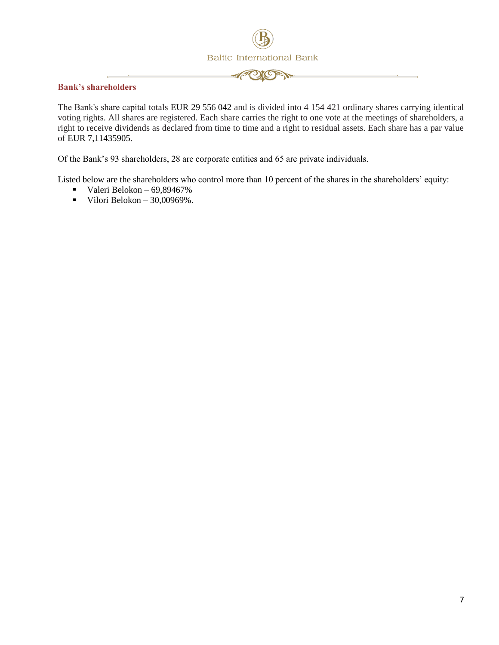

#### <span id="page-6-0"></span>**Bank's shareholders**

The Вank's share capital totals EUR 29 556 042 and is divided into 4 154 421 ordinary shares carrying identical voting rights. All shares are registered. Each share carries the right to one vote at the meetings of shareholders, a right to receive dividends as declared from time to time and a right to residual assets. Each share has a par value of EUR 7,11435905.

Of the Bank's 93 shareholders, 28 are corporate entities and 65 are private individuals.

Listed below are the shareholders who control more than 10 percent of the shares in the shareholders' equity:

- Valeri Belokon  $69,89467\%$
- Vilori Belokon  $30,00969\%$ .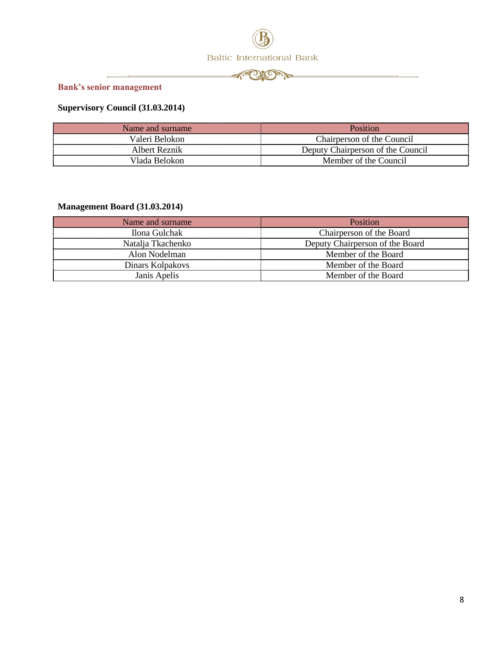



<span id="page-7-0"></span>**Bank's senior management**

#### **Supervisory Council (31.03.2014)**

| Name and surname | Position                          |
|------------------|-----------------------------------|
| Valeri Belokon-  | Chairperson of the Council        |
| Albert Reznik    | Deputy Chairperson of the Council |
| Vlada Belokon    | Member of the Council             |

#### **Management Board (31.03.2014)**

| Name and surname  | Position                        |
|-------------------|---------------------------------|
| Ilona Gulchak     | Chairperson of the Board        |
| Natalja Tkachenko | Deputy Chairperson of the Board |
| Alon Nodelman     | Member of the Board             |
| Dinars Kolpakovs  | Member of the Board             |
| Janis Apelis      | Member of the Board             |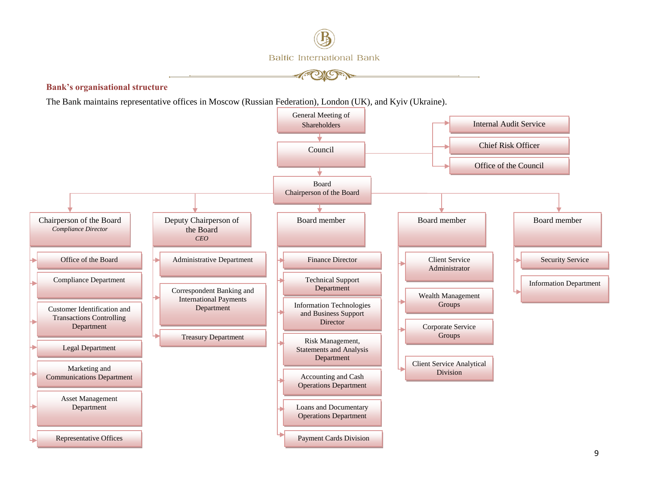

**Bank's organisational structure**

The Bank maintains representative offices in Moscow (Russian Federation), London (UK), and Kyiv (Ukraine).

<span id="page-8-0"></span>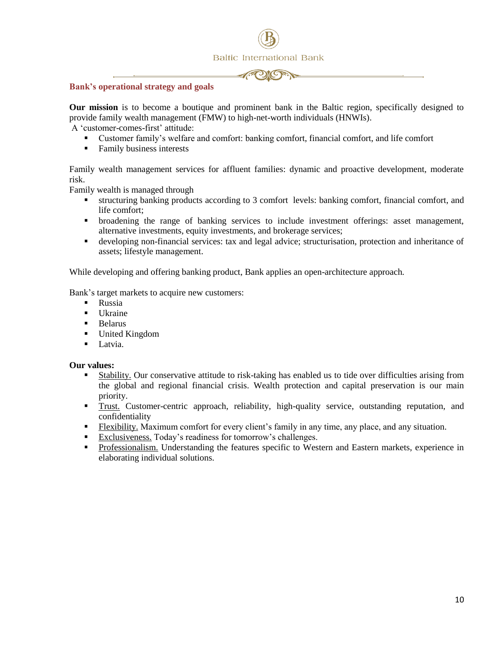



#### <span id="page-9-0"></span>**Bank's operational strategy and goals**

**Our mission** is to become a boutique and prominent bank in the Baltic region, specifically designed to provide family wealth management (FMW) to high-net-worth individuals (HNWIs).

A 'customer-comes-first' attitude:

- Customer family's welfare and comfort: banking comfort, financial comfort, and life comfort
- Family business interests

Family wealth management services for affluent families: dynamic and proactive development, moderate risk.

Family wealth is managed through

- structuring banking products according to 3 comfort levels: banking comfort, financial comfort, and life comfort;
- broadening the range of banking services to include investment offerings: asset management, alternative investments, equity investments, and brokerage services;
- developing non-financial services: tax and legal advice; structurisation, protection and inheritance of assets; lifestyle management.

While developing and offering banking product, Bank applies an open-architecture approach.

Bank's target markets to acquire new customers:

- **Russia**
- **Ukraine**
- **Belarus**
- United Kingdom
- **Latvia.**

#### **Our values:**

- Stability. Our conservative attitude to risk-taking has enabled us to tide over difficulties arising from the global and regional financial crisis. Wealth protection and capital preservation is our main priority.
- Trust. Customer-centric approach, reliability, high-quality service, outstanding reputation, and confidentiality
- Flexibility. Maximum comfort for every client's family in any time, any place, and any situation.
- Exclusiveness. Today's readiness for tomorrow's challenges.
- Professionalism. Understanding the features specific to Western and Eastern markets, experience in elaborating individual solutions.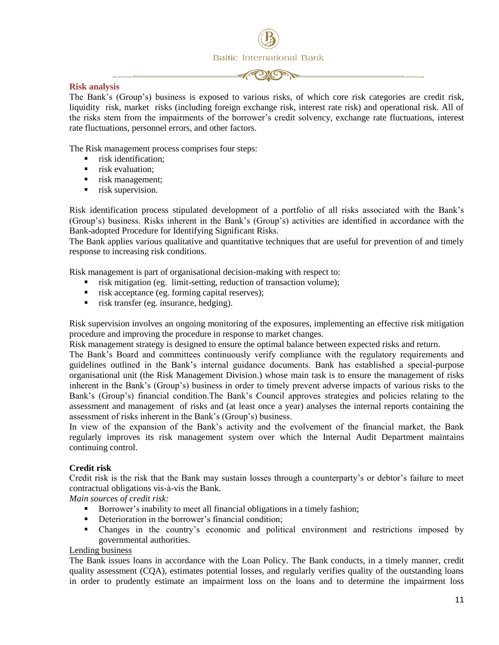

#### <span id="page-10-0"></span>**Risk analysis**

The Bank's (Group's) business is exposed to various risks, of which core risk categories are credit risk, liquidity risk, market risks (including foreign exchange risk, interest rate risk) and operational risk. All of the risks stem from the impairments of the borrower's credit solvency, exchange rate fluctuations, interest rate fluctuations, personnel errors, and other factors.

The Risk management process comprises four steps:

- **Filter** risk identification:
- **F** risk evaluation:
- risk management;
- $\blacksquare$  risk supervision.

Risk identification process stipulated development of a portfolio of all risks associated with the Bank's (Group's) business. Risks inherent in the Bank's (Group's) activities are identified in accordance with the Bank-adopted Procedure for Identifying Significant Risks.

The Bank applies various qualitative and quantitative techniques that are useful for prevention of and timely response to increasing risk conditions.

Risk management is part of organisational decision-making with respect to:

- risk mitigation (eg. limit-setting, reduction of transaction volume);
- risk acceptance (eg. forming capital reserves);
- risk transfer (eg. insurance, hedging).

Risk supervision involves an ongoing monitoring of the exposures, implementing an effective risk mitigation procedure and improving the procedure in response to market changes.

Risk management strategy is designed to ensure the optimal balance between expected risks and return.

The Bank's Board and committees continuously verify compliance with the regulatory requirements and guidelines outlined in the Bank's internal guidance documents. Bank has established a special-purpose organisational unit (the Risk Management Division.) whose main task is to ensure the management of risks inherent in the Bank's (Group's) business in order to timely prevent adverse impacts of various risks to the Bank's (Group's) financial condition.The Bank's Council approves strategies and policies relating to the assessment and management of risks and (at least once a year) analyses the internal reports containing the assessment of risks inherent in the Bank's (Group's) business.

In view of the expansion of the Bank's activity and the evolvement of the financial market, the Bank regularly improves its risk management system over which the Internal Audit Department maintains continuing control.

#### **Credit risk**

Credit risk is the risk that the Bank may sustain losses through a counterparty's or debtor's failure to meet contractual obligations vis-à-vis the Bank.

*Main sources of credit risk:*

- Borrower's inability to meet all financial obligations in a timely fashion;
- Deterioration in the borrower's financial condition;
- Changes in the country's economic and political environment and restrictions imposed by governmental authorities.

#### Lending business

The Bank issues loans in accordance with the Loan Policy. The Bank conducts, in a timely manner, credit quality assessment (CQA), estimates potential losses, and regularly verifies quality of the outstanding loans in order to prudently estimate an impairment loss on the loans and to determine the impairment loss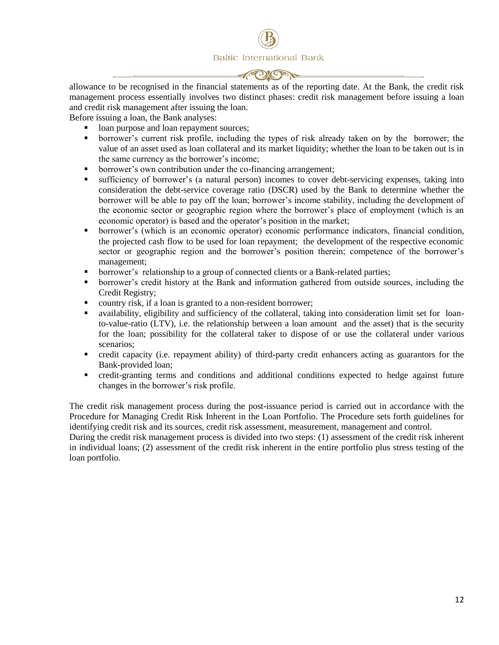allowance to be recognised in the financial statements as of the reporting date. At the Bank, the credit risk management process essentially involves two distinct phases: credit risk management before issuing a loan and credit risk management after issuing the loan.

Before issuing a loan, the Bank analyses:

- loan purpose and loan repayment sources;
- borrower's current risk profile, including the types of risk already taken on by the borrower; the value of an asset used as loan collateral and its market liquidity; whether the loan to be taken out is in the same currency as the borrower's income;
- borrower's own contribution under the co-financing arrangement;
- sufficiency of borrower's (a natural person) incomes to cover debt-servicing expenses, taking into consideration the debt-service coverage ratio (DSCR) used by the Bank to determine whether the borrower will be able to pay off the loan; borrower's income stability, including the development of the economic sector or geographic region where the borrower's place of employment (which is an economic operator) is based and the operator's position in the market;
- borrower's (which is an economic operator) economic performance indicators, financial condition, the projected cash flow to be used for loan repayment; the development of the respective economic sector or geographic region and the borrower's position therein; competence of the borrower's management;
- borrower's relationship to a group of connected clients or a Bank-related parties;
- borrower's credit history at the Bank and information gathered from outside sources, including the Credit Registry;
- country risk, if a loan is granted to a non-resident borrower;
- availability, eligibility and sufficiency of the collateral, taking into consideration limit set for loanto-value-ratio (LTV), i.e. the relationship between a loan amount and the asset) that is the security for the loan; possibility for the collateral taker to dispose of or use the collateral under various scenarios;
- credit capacity (i.e. repayment ability) of third-party credit enhancers acting as guarantors for the Bank-provided loan;
- credit-granting terms and conditions and additional conditions expected to hedge against future changes in the borrower's risk profile.

The credit risk management process during the post-issuance period is carried out in accordance with the Procedure for Managing Credit Risk Inherent in the Loan Portfolio. The Procedure sets forth guidelines for identifying credit risk and its sources, credit risk assessment, measurement, management and control.

During the credit risk management process is divided into two steps: (1) assessment of the credit risk inherent in individual loans; (2) assessment of the credit risk inherent in the entire portfolio plus stress testing of the loan portfolio.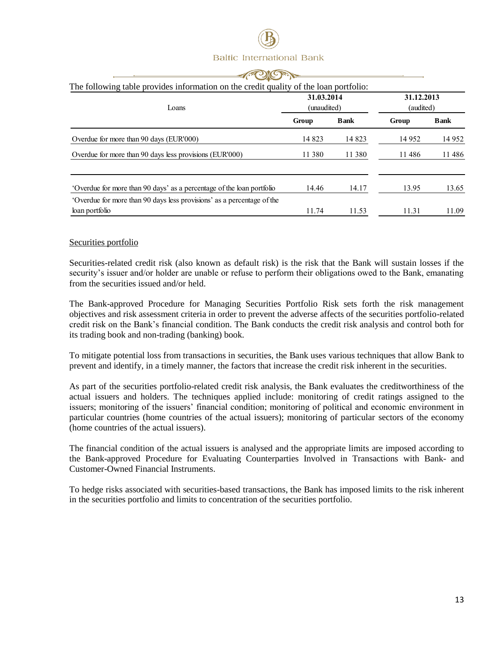| <b>CACUMOR</b><br>The following table provides information on the credit quality of the loan portfolio:<br>31.03.2014<br>31.12.2013<br>(audited)<br>(unaudited)<br>Loans |        |             |         |              |  |  |
|--------------------------------------------------------------------------------------------------------------------------------------------------------------------------|--------|-------------|---------|--------------|--|--|
|                                                                                                                                                                          | Group  | <b>Bank</b> | Group   | <b>B</b> ank |  |  |
| Overdue for more than 90 days (EUR'000)                                                                                                                                  | 14 823 | 14 823      | 14 9 52 | 14 9 52      |  |  |
| Overdue for more than 90 days less provisions (EUR'000)                                                                                                                  | 11 380 | 11 380      | 11486   | 11486        |  |  |
| Overdue for more than 90 days' as a percentage of the loan portfolio                                                                                                     | 14.46  | 14.17       | 13.95   | 13.65        |  |  |
| 'Overdue for more than 90 days less provisions' as a percentage of the<br>loan portfolio                                                                                 | 11.74  | 11.53       | 11.31   | 11.09        |  |  |

#### Securities portfolio

Securities-related credit risk (also known as default risk) is the risk that the Bank will sustain losses if the security's issuer and/or holder are unable or refuse to perform their obligations owed to the Bank, emanating from the securities issued and/or held.

The Bank-approved Procedure for Managing Securities Portfolio Risk sets forth the risk management objectives and risk assessment criteria in order to prevent the adverse affects of the securities portfolio-related credit risk on the Bank's financial condition. The Bank conducts the credit risk analysis and control both for its trading book and non-trading (banking) book.

To mitigate potential loss from transactions in securities, the Bank uses various techniques that allow Bank to prevent and identify, in a timely manner, the factors that increase the credit risk inherent in the securities.

As part of the securities portfolio-related credit risk analysis, the Bank evaluates the creditworthiness of the actual issuers and holders. The techniques applied include: monitoring of credit ratings assigned to the issuers; monitoring of the issuers' financial condition; monitoring of political and economic environment in particular countries (home countries of the actual issuers); monitoring of particular sectors of the economy (home countries of the actual issuers).

The financial condition of the actual issuers is analysed and the appropriate limits are imposed according to the Bank-approved Procedure for Evaluating Counterparties Involved in Transactions with Bank- and Customer-Owned Financial Instruments.

To hedge risks associated with securities-based transactions, the Bank has imposed limits to the risk inherent in the securities portfolio and limits to concentration of the securities portfolio.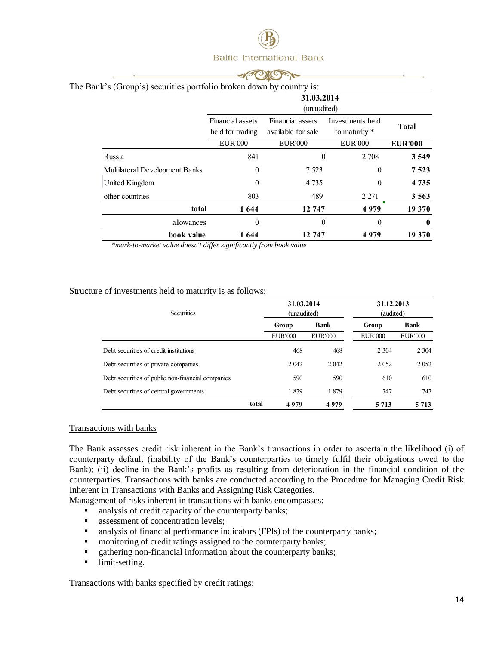| Sank's (Group's) securities portfolio broken down by country is: |                                                                                |                           |                                   |                  |  |  |  |
|------------------------------------------------------------------|--------------------------------------------------------------------------------|---------------------------|-----------------------------------|------------------|--|--|--|
|                                                                  |                                                                                | 31.03.2014<br>(unaudited) |                                   |                  |  |  |  |
|                                                                  | Financial assets<br>Financial assets<br>available for sale<br>held for trading |                           | Investments held<br>to maturity * |                  |  |  |  |
|                                                                  | <b>EUR'000</b>                                                                 | <b>EUR'000</b>            | <b>EUR'000</b>                    | <b>EUR'000</b>   |  |  |  |
| Russia                                                           | 841                                                                            | 0                         | 2 708                             | 3 5 4 9          |  |  |  |
| Multilateral Development Banks                                   | $\theta$                                                                       | 7 5 2 3                   | $\theta$                          | 7523             |  |  |  |
| United Kingdom                                                   | $\theta$                                                                       | 4 7 3 5                   | $\theta$                          | 4 7 3 5          |  |  |  |
| other countries                                                  | 803                                                                            | 489                       | 2 2 7 1                           | 3 5 6 3          |  |  |  |
| total                                                            | 1644                                                                           | 12 747                    | 4979                              | 19 370           |  |  |  |
| allowances                                                       | $\theta$                                                                       | $\theta$                  | $\theta$                          | $\boldsymbol{0}$ |  |  |  |
| book value                                                       | 1 644                                                                          | 12 747                    | 4979                              | 19 370           |  |  |  |

The Bank's (Group's) securities portfolio broken down by country is:

 *\*mark-to-market value doesn't differ significantly from book value*

#### Structure of investments held to maturity is as follows:

| <b>Securities</b>                                 |       | 31.03.2014<br>(unaudited) |                | 31.12.2013<br>(audited) |                |
|---------------------------------------------------|-------|---------------------------|----------------|-------------------------|----------------|
|                                                   |       | <b>Bank</b><br>Group      |                | Group                   | <b>Bank</b>    |
|                                                   |       | <b>EUR'000</b>            | <b>EUR'000</b> | <b>EUR'000</b>          | <b>EUR'000</b> |
| Debt securities of credit institutions            |       | 468                       | 468            | 2 3 0 4                 | 2 3 0 4        |
| Debt securities of private companies              |       | 2 0 4 2                   | 2 042          | 2 0 5 2                 | 2 0 5 2        |
| Debt securities of public non-financial companies |       | 590                       | 590            | 610                     | 610            |
| Debt securities of central governments            |       | 1879                      | 1879           | 747                     | 747            |
|                                                   | total | 4979                      | 4979           | 5 7 1 3                 | 5 7 1 3        |

#### Transactions with banks

The Bank assesses credit risk inherent in the Bank's transactions in order to ascertain the likelihood (i) of counterparty default (inability of the Bank's counterparties to timely fulfil their obligations owed to the Bank); (ii) decline in the Bank's profits as resulting from deterioration in the financial condition of the counterparties. Transactions with banks are conducted according to the Procedure for Managing Credit Risk Inherent in Transactions with Banks and Assigning Risk Categories.

Management of risks inherent in transactions with banks encompasses:

- analysis of credit capacity of the counterparty banks;
- assessment of concentration levels;
- analysis of financial performance indicators (FPIs) of the counterparty banks;
- **n** monitoring of credit ratings assigned to the counterparty banks;
- **Example 1** gathering non-financial information about the counterparty banks;
- **I** limit-setting.

Transactions with banks specified by credit ratings: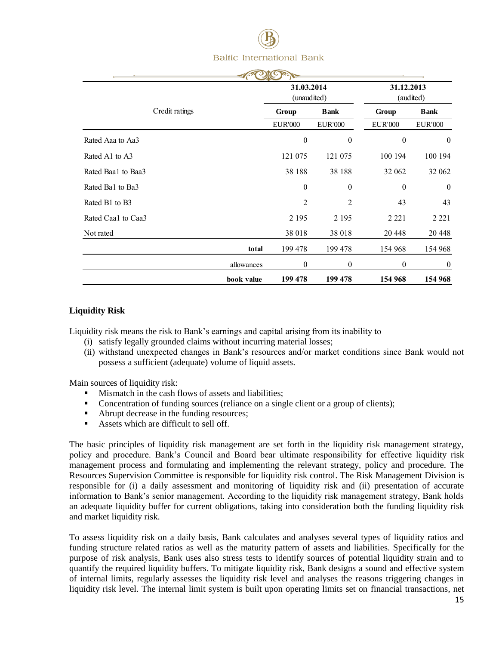

|                    |            | 31.03.2014<br>(unaudited) |                  | 31.12.2013       | (audited)        |  |
|--------------------|------------|---------------------------|------------------|------------------|------------------|--|
| Credit ratings     |            | Group                     | <b>Bank</b>      | Group            | <b>Bank</b>      |  |
|                    |            | <b>EUR'000</b>            | <b>EUR'000</b>   | <b>EUR'000</b>   | <b>EUR'000</b>   |  |
| Rated Aaa to Aa3   |            | $\boldsymbol{0}$          | $\mathbf{0}$     | $\boldsymbol{0}$ | $\theta$         |  |
| Rated A1 to A3     |            | 121 075                   | 121 075          | 100 194          | 100 194          |  |
| Rated Baa1 to Baa3 |            | 38 188                    | 38 188           | 32 062           | 32 062           |  |
| Rated Ba1 to Ba3   |            | $\theta$                  | $\mathbf{0}$     | $\mathbf{0}$     | $\mathbf{0}$     |  |
| Rated B1 to B3     |            | 2                         | 2                | 43               | 43               |  |
| Rated Caa1 to Caa3 |            | 2 1 9 5                   | 2 1 9 5          | 2 2 2 1          | 2 2 2 1          |  |
| Not rated          |            | 38 018                    | 38 018           | 20 448           | 20 4 48          |  |
|                    | total      | 199 478                   | 199 478          | 154 968          | 154 968          |  |
|                    | allowances | $\boldsymbol{0}$          | $\boldsymbol{0}$ | $\theta$         | $\boldsymbol{0}$ |  |
|                    | book value | 199 478                   | 199 478          | 154 968          | 154 968          |  |

#### **Liquidity Risk**

Liquidity risk means the risk to Bank's earnings and capital arising from its inability to

- (i) satisfy legally grounded claims without incurring material losses;
- (ii) withstand unexpected changes in Bank's resources and/or market conditions since Bank would not possess a sufficient (adequate) volume of liquid assets.

Main sources of liquidity risk:

- Mismatch in the cash flows of assets and liabilities;
- Concentration of funding sources (reliance on a single client or a group of clients);
- Abrupt decrease in the funding resources;
- Assets which are difficult to sell off.

The basic principles of liquidity risk management are set forth in the liquidity risk management strategy, policy and procedure. Bank's Council and Board bear ultimate responsibility for effective liquidity risk management process and formulating and implementing the relevant strategy, policy and procedure. The Resources Supervision Committee is responsible for liquidity risk control. The Risk Management Division is responsible for (i) a daily assessment and monitoring of liquidity risk and (ii) presentation of accurate information to Bank's senior management. According to the liquidity risk management strategy, Bank holds an adequate liquidity buffer for current obligations, taking into consideration both the funding liquidity risk and market liquidity risk.

To assess liquidity risk on a daily basis, Bank calculates and analyses several types of liquidity ratios and funding structure related ratios as well as the maturity pattern of assets and liabilities. Specifically for the purpose of risk analysis, Bank uses also stress tests to identify sources of potential liquidity strain and to quantify the required liquidity buffers. To mitigate liquidity risk, Bank designs a sound and effective system of internal limits, regularly assesses the liquidity risk level and analyses the reasons triggering changes in liquidity risk level. The internal limit system is built upon operating limits set on financial transactions, net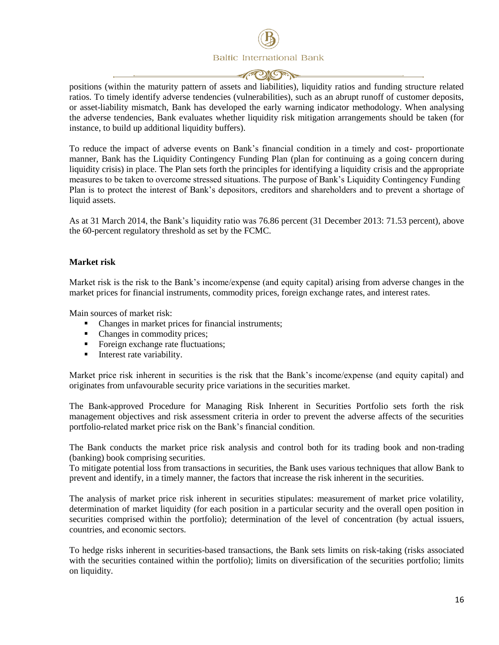**POGET** 

positions (within the maturity pattern of assets and liabilities), liquidity ratios and funding structure related ratios. To timely identify adverse tendencies (vulnerabilities), such as an abrupt runoff of customer deposits, or asset-liability mismatch, Bank has developed the early warning indicator methodology. When analysing the adverse tendencies, Bank evaluates whether liquidity risk mitigation arrangements should be taken (for instance, to build up additional liquidity buffers).

To reduce the impact of adverse events on Bank's financial condition in a timely and cost- proportionate manner, Bank has the Liquidity Contingency Funding Plan (plan for continuing as a going concern during liquidity crisis) in place. The Plan sets forth the principles for identifying a liquidity crisis and the appropriate measures to be taken to overcome stressed situations. The purpose of Bank's Liquidity Contingency Funding Plan is to protect the interest of Bank's depositors, creditors and shareholders and to prevent a shortage of liquid assets.

As at 31 March 2014, the Bank's liquidity ratio was 76.86 percent (31 December 2013: 71.53 percent), above the 60-percent regulatory threshold as set by the FCMC.

#### **Market risk**

Market risk is the risk to the Bank's income/expense (and equity capital) arising from adverse changes in the market prices for financial instruments, commodity prices, foreign exchange rates, and interest rates.

Main sources of market risk:

- Changes in market prices for financial instruments;
- Changes in commodity prices;
- Foreign exchange rate fluctuations;
- Interest rate variability.

Market price risk inherent in securities is the risk that the Bank's income/expense (and equity capital) and originates from unfavourable security price variations in the securities market.

The Bank-approved Procedure for Managing Risk Inherent in Securities Portfolio sets forth the risk management objectives and risk assessment criteria in order to prevent the adverse affects of the securities portfolio-related market price risk on the Bank's financial condition.

The Bank conducts the market price risk analysis and control both for its trading book and non-trading (banking) book comprising securities.

To mitigate potential loss from transactions in securities, the Bank uses various techniques that allow Bank to prevent and identify, in a timely manner, the factors that increase the risk inherent in the securities.

The analysis of market price risk inherent in securities stipulates: measurement of market price volatility, determination of market liquidity (for each position in a particular security and the overall open position in securities comprised within the portfolio); determination of the level of concentration (by actual issuers, countries, and economic sectors.

To hedge risks inherent in securities-based transactions, the Bank sets limits on risk-taking (risks associated with the securities contained within the portfolio); limits on diversification of the securities portfolio; limits on liquidity.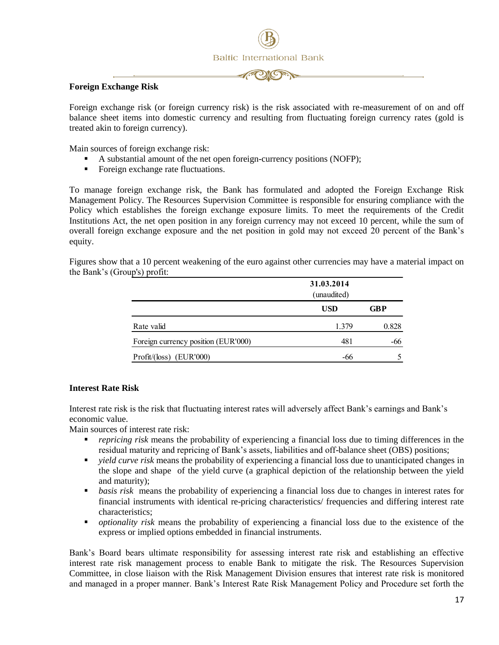

#### **Foreign Exchange Risk**

Foreign exchange risk (or foreign currency risk) is the risk associated with re-measurement of on and off balance sheet items into domestic currency and resulting from fluctuating foreign currency rates (gold is treated akin to foreign currency).

Main sources of foreign exchange risk:

- A substantial amount of the net open foreign-currency positions (NOFP);
- Foreign exchange rate fluctuations.

To manage foreign exchange risk, the Bank has formulated and adopted the Foreign Exchange Risk Management Policy. The Resources Supervision Committee is responsible for ensuring compliance with the Policy which establishes the foreign exchange exposure limits. To meet the requirements of the Credit Institutions Act, the net open position in any foreign currency may not exceed 10 percent, while the sum of overall foreign exchange exposure and the net position in gold may not exceed 20 percent of the Bank's equity.

Figures show that a 10 percent weakening of the euro against other currencies may have a material impact on the Bank's (Group's) profit:

|                                     | 31.03.2014<br>(unaudited) |            |  |  |
|-------------------------------------|---------------------------|------------|--|--|
|                                     | <b>USD</b>                | <b>GBP</b> |  |  |
| Rate valid                          | 1.379                     | 0.828      |  |  |
| Foreign currency position (EUR'000) | 481                       | -66        |  |  |
| Profit/(loss) (EUR'000)             | -66                       |            |  |  |

#### **Interest Rate Risk**

Interest rate risk is the risk that fluctuating interest rates will adversely affect Bank's earnings and Bank's economic value.

Main sources of interest rate risk:

- *repricing risk* means the probability of experiencing a financial loss due to timing differences in the residual maturity and repricing of Bank's assets, liabilities and off-balance sheet (OBS) positions;
- *yield curve risk* means the probability of experiencing a financial loss due to unanticipated changes in the slope and shape of the yield curve (a graphical depiction of the relationship between the yield and maturity);
- **•** *basis risk* means the probability of experiencing a financial loss due to changes in interest rates for financial instruments with identical re-pricing characteristics/ frequencies and differing interest rate characteristics;
- *optionality risk* means the probability of experiencing a financial loss due to the existence of the express or implied options embedded in financial instruments.

Bank's Board bears ultimate responsibility for assessing interest rate risk and establishing an effective interest rate risk management process to enable Bank to mitigate the risk. The Resources Supervision Committee, in close liaison with the Risk Management Division ensures that interest rate risk is monitored and managed in a proper manner. Bank's Interest Rate Risk Management Policy and Procedure set forth the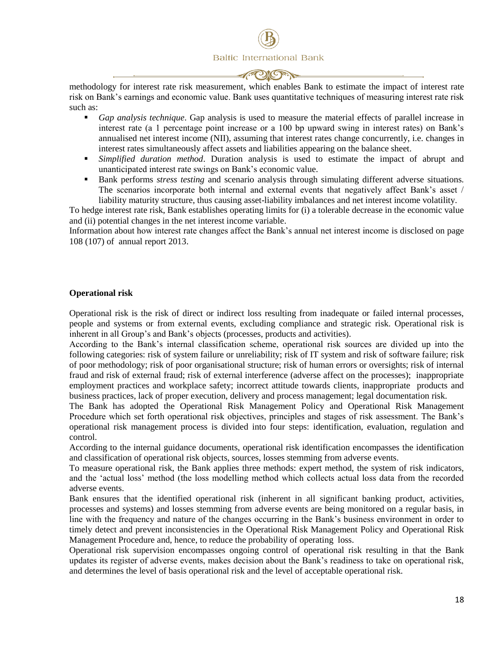

methodology for interest rate risk measurement, which enables Bank to estimate the impact of interest rate risk on Bank's earnings and economic value. Bank uses quantitative techniques of measuring interest rate risk such as:

- *Gap analysis technique*. Gap analysis is used to measure the material effects of parallel increase in interest rate (a 1 percentage point increase or a 100 bp upward swing in interest rates) on Bank's annualised net interest income (NII), assuming that interest rates change concurrently, i.e. changes in interest rates simultaneously affect assets and liabilities appearing on the balance sheet.
- *Simplified duration method*. Duration analysis is used to estimate the impact of abrupt and unanticipated interest rate swings on Bank's economic value.
- Bank performs *stress testing* and scenario analysis through simulating different adverse situations. The scenarios incorporate both internal and external events that negatively affect Bank's asset / liability maturity structure, thus causing asset-liability imbalances and net interest income volatility.

To hedge interest rate risk, Bank establishes operating limits for (i) a tolerable decrease in the economic value and (ii) potential changes in the net interest income variable.

Information about how interest rate changes affect the Bank's annual net interest income is disclosed on page 108 (107) of annual report 2013.

#### **Operational risk**

Operational risk is the risk of direct or indirect loss resulting from inadequate or failed internal processes, people and systems or from external events, excluding compliance and strategic risk. Operational risk is inherent in all Group's and Bank's objects (processes, products and activities).

According to the Bank's internal classification scheme, operational risk sources are divided up into the following categories: risk of system failure or unreliability; risk of IT system and risk of software failure; risk of poor methodology; risk of poor organisational structure; risk of human errors or oversights; risk of internal fraud and risk of external fraud; risk of external interference (adverse affect on the processes); inappropriate employment practices and workplace safety; incorrect attitude towards clients, inappropriate products and business practices, lack of proper execution, delivery and process management; legal documentation risk.

The Bank has adopted the Operational Risk Management Policy and Operational Risk Management Procedure which set forth operational risk objectives, principles and stages of risk assessment. The Bank's operational risk management process is divided into four steps: identification, evaluation, regulation and control.

According to the internal guidance documents, operational risk identification encompasses the identification and classification of operational risk objects, sources, losses stemming from adverse events.

To measure operational risk, the Bank applies three methods: expert method, the system of risk indicators, and the 'actual loss' method (the loss modelling method which collects actual loss data from the recorded adverse events.

Bank ensures that the identified operational risk (inherent in all significant banking product, activities, processes and systems) and losses stemming from adverse events are being monitored on a regular basis, in line with the frequency and nature of the changes occurring in the Bank's business environment in order to timely detect and prevent inconsistencies in the Operational Risk Management Policy and Operational Risk Management Procedure and, hence, to reduce the probability of operating loss.

Operational risk supervision encompasses ongoing control of operational risk resulting in that the Bank updates its register of adverse events, makes decision about the Bank's readiness to take on operational risk, and determines the level of basis operational risk and the level of acceptable operational risk.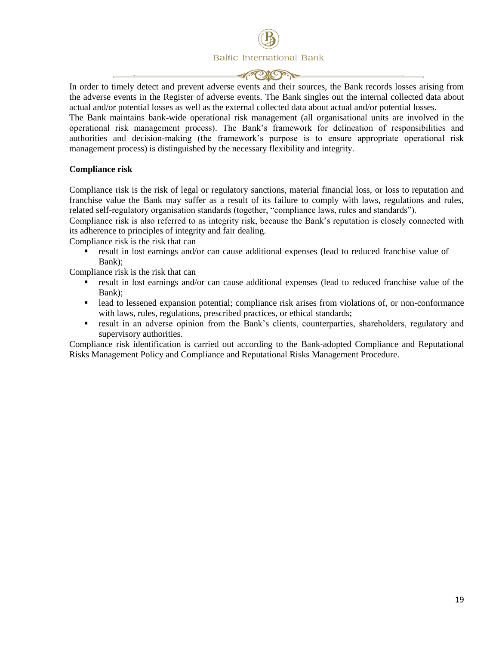In order to timely detect and prevent adverse events and their sources, the Bank records losses arising from the adverse events in the Register of adverse events. The Bank singles out the internal collected data about actual and/or potential losses as well as the external collected data about actual and/or potential losses.

The Bank maintains bank-wide operational risk management (all organisational units are involved in the operational risk management process). The Bank's framework for delineation of responsibilities and authorities and decision-making (the framework's purpose is to ensure appropriate operational risk management process) is distinguished by the necessary flexibility and integrity.

#### **Compliance risk**

Compliance risk is the risk of legal or regulatory sanctions, material financial loss, or loss to reputation and franchise value the Bank may suffer as a result of its failure to comply with laws, regulations and rules, related self-regulatory organisation standards (together, "compliance laws, rules and standards").

Compliance risk is also referred to as integrity risk, because the Bank's reputation is closely connected with its adherence to principles of integrity and fair dealing.

Compliance risk is the risk that can

 result in lost earnings and/or can cause additional expenses (lead to reduced franchise value of Bank);

Compliance risk is the risk that can

- result in lost earnings and/or can cause additional expenses (lead to reduced franchise value of the Bank);
- **lead to lessened expansion potential; compliance risk arises from violations of, or non-conformance** with laws, rules, regulations, prescribed practices, or ethical standards;
- result in an adverse opinion from the Bank's clients, counterparties, shareholders, regulatory and supervisory authorities.

Compliance risk identification is carried out according to the Bank-adopted Compliance and Reputational Risks Management Policy and Compliance and Reputational Risks Management Procedure.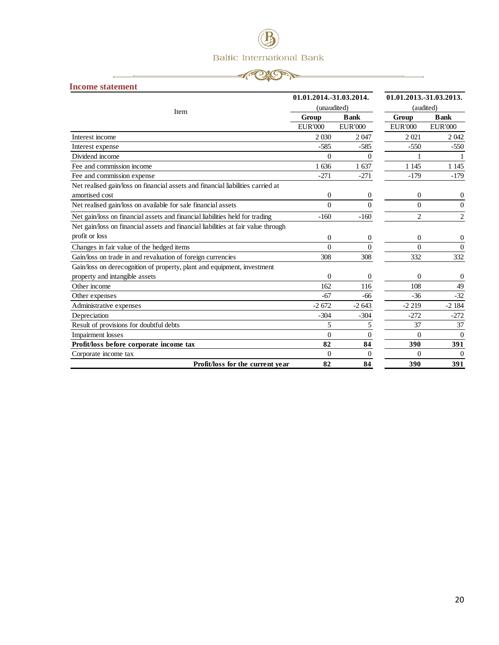## 

<span id="page-19-0"></span>

| <b>Income statement</b> |  |
|-------------------------|--|
|-------------------------|--|

|                                                                                   | 01.01.2014.-31.03.2014. |                  | 01.01.2013.-31.03.2013. |                  |  |
|-----------------------------------------------------------------------------------|-------------------------|------------------|-------------------------|------------------|--|
| Item                                                                              | (unaudited)             |                  | (audited)               |                  |  |
|                                                                                   | Group                   | <b>B</b> ank     | Group                   | <b>Bank</b>      |  |
|                                                                                   | EUR'000                 | EUR'000          | EUR'000                 | <b>EUR'000</b>   |  |
| Interest income                                                                   | 2 0 3 0                 | 2047             | 2021                    | 2042             |  |
| Interest expense                                                                  | $-585$                  | $-585$           | $-550$                  | $-550$           |  |
| Dividend income                                                                   | $\Omega$                | 0                |                         |                  |  |
| Fee and commission income                                                         | 1 636                   | 1 637            | 1 1 4 5                 | 1 1 4 5          |  |
| Fee and commission expense                                                        | $-271$                  | $-271$           | $-179$                  | $-179$           |  |
| Net realised gain/loss on financial assets and financial liabilities carried at   |                         |                  |                         |                  |  |
| amortised cost                                                                    | $\mathbf{0}$            | $\boldsymbol{0}$ | $\boldsymbol{0}$        | 0                |  |
| Net realised gain/loss on available for sale financial assets                     | $\Omega$                | $\Omega$         | $\Omega$                | $\Omega$         |  |
| Net gain/loss on financial assets and financial liabilities held for trading      | $-160$                  | $-160$           | $\overline{c}$          | $\overline{c}$   |  |
| Net gain/loss on financial assets and financial liabilities at fair value through |                         |                  |                         |                  |  |
| profit or loss                                                                    | $\Omega$                | 0                | $\mathbf{0}$            | 0                |  |
| Changes in fair value of the hedged items                                         | $\Omega$                | $\Omega$         | $\Omega$                | $\overline{0}$   |  |
| Gain/loss on trade in and revaluation of foreign currencies                       | 308                     | 308              | 332                     | 332              |  |
| Gain/loss on derecognition of property, plant and equipment, investment           |                         |                  |                         |                  |  |
| property and intangible assets                                                    | $\Omega$                | 0                | $\mathbf{0}$            | $\boldsymbol{0}$ |  |
| Other income                                                                      | 162                     | 116              | 108                     | 49               |  |
| Other expenses                                                                    | $-67$                   | -66              | $-36$                   | $-32$            |  |
| Administrative expenses                                                           | $-2672$                 | $-2643$          | $-2219$                 | $-2184$          |  |
| Depreciation                                                                      | $-304$                  | $-304$           | $-272$                  | $-272$           |  |
| Result of provisions for doubtful debts                                           | 5                       | 5                | 37                      | 37               |  |
| <b>Impairment</b> losses                                                          | $\Omega$                | $\overline{0}$   | $\Omega$                | $\theta$         |  |
| Profit/loss before corporate income tax                                           | 82                      | 84               | 390                     | 391              |  |
| Corporate income tax                                                              | $\Omega$                | $\Omega$         | $\Omega$                | $\theta$         |  |
| Profit/loss for the current year                                                  | 82                      | 84               | 390                     | 391              |  |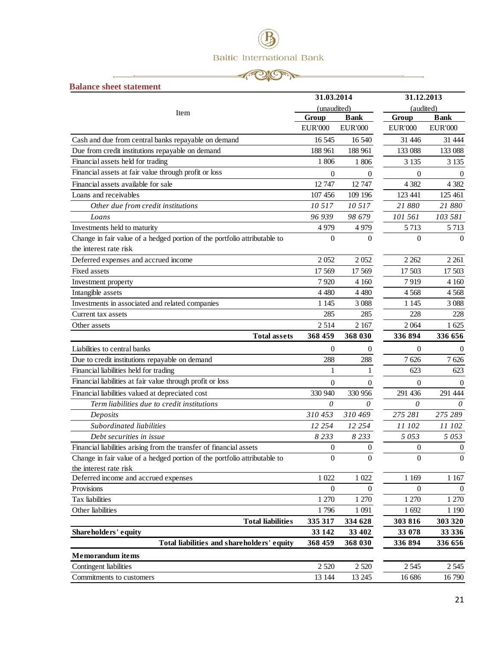#### **APION**

-.

<span id="page-20-0"></span>

| <b>Balance sheet statement</b>                                            |                  |                  |                  |                  |
|---------------------------------------------------------------------------|------------------|------------------|------------------|------------------|
|                                                                           | 31.03.2014       |                  | 31.12.2013       |                  |
| Item                                                                      | (unaudited)      |                  | (audited)        |                  |
|                                                                           | Group            | <b>Bank</b>      | Group            | <b>Bank</b>      |
|                                                                           | <b>EUR'000</b>   | <b>EUR'000</b>   | <b>EUR'000</b>   | <b>EUR'000</b>   |
| Cash and due from central banks repayable on demand                       | 16 5 45          | 16 540           | 31 446           | 31 444           |
| Due from credit institutions repayable on demand                          | 188 961          | 188 961          | 133 088          | 133 088          |
| Financial assets held for trading                                         | 1 806            | 1 806            | 3 1 3 5          | 3 1 3 5          |
| Financial assets at fair value through profit or loss                     | $\overline{0}$   | $\overline{0}$   | $\mathbf{0}$     | $\Omega$         |
| Financial assets available for sale                                       | 12 747           | 12747            | 4 3 8 2          | 4 3 8 2          |
| Loans and receivables                                                     | 107 456          | 109 196          | 123 441          | 125 461          |
| Other due from credit institutions                                        | 10 517           | 10 5 17          | 21 880           | 21 880           |
| Loans                                                                     | 96 939           | 98 679           | 101 561          | 103 581          |
| Investments held to maturity                                              | 4 9 7 9          | 4979             | 5 7 1 3          | 5 7 1 3          |
| Change in fair value of a hedged portion of the portfolio attributable to | $\boldsymbol{0}$ | $\Omega$         | $\Omega$         | $\theta$         |
| the interest rate risk                                                    |                  |                  |                  |                  |
| Deferred expenses and accrued income                                      | 2052             | 2052             | 2 2 6 2          | 2 2 6 1          |
| Fixed assets                                                              | 17 569           | 17 569           | 17 503           | 17 503           |
| Investment property                                                       | 7920             | 4 1 6 0          | 7919             | 4 1 6 0          |
| Intangible assets                                                         | 4 4 8 0          | 4 4 8 0          | 4 5 6 8          | 4568             |
| Investments in associated and related companies                           | 1 1 4 5          | 3 0 8 8          | 1 1 4 5          | 3 0 8 8          |
| Current tax assets                                                        | 285              | 285              | 228              | 228              |
| Other assets                                                              | 2514             | 2 1 6 7          | 2 0 6 4          | 1 625            |
| <b>Total assets</b>                                                       | 368 459          | 368 030          | 336 894          | 336 656          |
| Liabilities to central banks                                              | $\overline{0}$   | 0                | 0                | $\theta$         |
| Due to credit institutions repayable on demand                            | 288              | 288              | 7626             | 7626             |
| Financial liabilities held for trading                                    | 1                | 1                | 623              | 623              |
| Financial liabilities at fair value through profit or loss                | $\theta$         | 0                | $\mathbf{0}$     | $\overline{0}$   |
| Financial liabilities valued at depreciated cost                          | 330 940          | 330 956          | 291 436          | 291 444          |
| Term liabilities due to credit institutions                               | 0                | 0                | 0                | 0                |
| Deposits                                                                  | 310 453          | 310 469          | 275 281          | 275 289          |
| Subordinated liabilities                                                  | 12 254           | 12 2 5 4         | 11 102           | 11 102           |
| Debt securities in issue                                                  | 8 2 3 3          | 8233             | 5 0 5 3          | 5053             |
| Financial liabilities arising from the transfer of financial assets       | 0                | $\boldsymbol{0}$ | $\boldsymbol{0}$ | $\boldsymbol{0}$ |
| Change in fair value of a hedged portion of the portfolio attributable to | $\mathbf{0}$     | $\overline{0}$   | $\mathbf{0}$     | $\mathbf{0}$     |
| the interest rate risk                                                    |                  |                  |                  |                  |
| Deferred income and accrued expenses                                      | 1 0 2 2          | 1 0 2 2          | 1 1 6 9          | 1 1 67           |
| Provisions                                                                | $\overline{0}$   | $\Omega$         | $\Omega$         | $\theta$         |
| Tax liabilities                                                           | 1 270            | 1 270            | 1 270            | 1 270            |
| Other liabilities                                                         | 1796             | 1 0 9 1          | 1 692            | 1 1 9 0          |
| <b>Total liabilities</b>                                                  | 335 317          | 334 628          | 303 816          | 303 320          |
| Shareholders' equity                                                      | 33 142           | 33 402           | 33 078           | 33 336           |
| Total liabilities and shareholders' equity                                | 368 459          | 368 030          | 336 894          | 336 656          |
| <b>Memorandum</b> items                                                   |                  |                  |                  |                  |
| Contingent liabilities                                                    | 2 5 20           | 2 5 20           | 2 5 4 5          | 2 5 4 5          |
| Commitments to customers                                                  | 13 144           | 13 24 5          | 16 686           | $16\,790$        |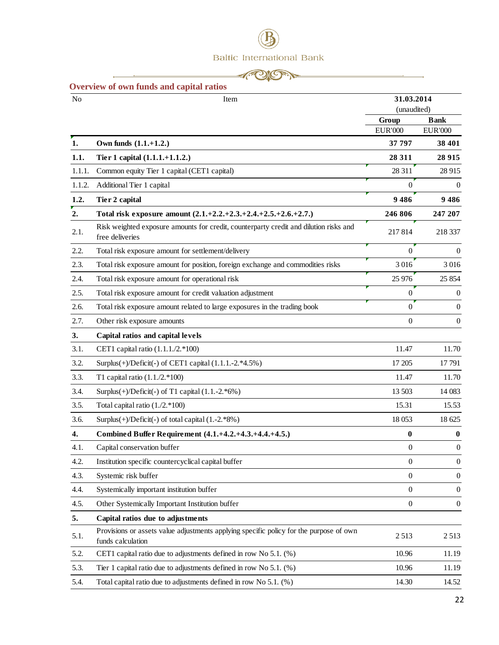|  |  | $-1$ ( $\sim$ $\sim$ $-$ |  |
|--|--|--------------------------|--|
|  |  |                          |  |

 $\overline{\phantom{a}}$ 

<span id="page-21-0"></span>

| N <sub>o</sub> | Item                                                                                                        | 31.03.2014       |                  |
|----------------|-------------------------------------------------------------------------------------------------------------|------------------|------------------|
|                |                                                                                                             | (unaudited)      |                  |
|                |                                                                                                             | Group            | <b>Bank</b>      |
|                |                                                                                                             | <b>EUR'000</b>   | <b>EUR'000</b>   |
| 1.             | Own funds $(1.1.+1.2.)$                                                                                     | 37 797           | 38 401           |
| 1.1.           | Tier 1 capital (1.1.1.+1.1.2.)                                                                              | 28 311           | 28 9 15          |
| 1.1.1.         | Common equity Tier 1 capital (CET1 capital)                                                                 | 28 311           | 28 915           |
| 1.1.2.         | Additional Tier 1 capital                                                                                   | $\overline{0}$   | $\theta$         |
| 1.2.           | Tier 2 capital                                                                                              | 9486             | 9486             |
| 2.             | Total risk exposure amount $(2.1.+2.2.+2.3.+2.4.+2.5.+2.6.+2.7.)$                                           | 246 806          | 247 207          |
| 2.1.           | Risk weighted exposure amounts for credit, counterparty credit and dilution risks and<br>free deliveries    | 217814           | 218 337          |
| 2.2.           | Total risk exposure amount for settlement/delivery                                                          | $\mathbf{0}$     | $\theta$         |
| 2.3.           | Total risk exposure amount for position, foreign exchange and commodities risks                             | 3016             | 3 0 16           |
| 2.4.           | Total risk exposure amount for operational risk                                                             | 25 976           | 25 854           |
| 2.5.           | Total risk exposure amount for credit valuation adjustment                                                  | $\Omega$         | $\boldsymbol{0}$ |
| 2.6.           | Total risk exposure amount related to large exposures in the trading book                                   | $\Omega$         | $\mathbf{0}$     |
| 2.7.           | Other risk exposure amounts                                                                                 | $\Omega$         | $\mathbf{0}$     |
| 3.             | Capital ratios and capital levels                                                                           |                  |                  |
| 3.1.           | CET1 capital ratio (1.1.1./2.*100)                                                                          | 11.47            | 11.70            |
| 3.2.           | Surplus(+)/Deficit(-) of CET1 capital (1.1.1.-2.*4.5%)                                                      | 17 205           | 17791            |
| 3.3.           | T1 capital ratio $(1.1./2.*100)$                                                                            | 11.47            | 11.70            |
| 3.4.           | Surplus $(+)$ /Deficit $(-)$ of T1 capital $(1.1.-2.*6%)$                                                   | 13 503           | 14 083           |
| 3.5.           | Total capital ratio (1./2.*100)                                                                             | 15.31            | 15.53            |
| 3.6.           | Surplus $(+)$ /Deficit $(-)$ of total capital $(1.-2.*8%)$                                                  | 18 0 53          | 18 625           |
| 4.             | Combined Buffer Requirement (4.1.+4.2.+4.3.+4.4.+4.5.)                                                      | 0                | $\bf{0}$         |
| 4.1.           | Capital conservation buffer                                                                                 | $\boldsymbol{0}$ | $\boldsymbol{0}$ |
| 4.2.           | Institution specific countercyclical capital buffer                                                         | $\boldsymbol{0}$ | $\boldsymbol{0}$ |
| 4.3.           | Systemic risk buffer                                                                                        | $\boldsymbol{0}$ | $\mathbf{0}$     |
| 4.4.           | Systemically important institution buffer                                                                   | $\boldsymbol{0}$ | $\boldsymbol{0}$ |
| 4.5.           | Other Systemically Important Institution buffer                                                             | $\boldsymbol{0}$ | $\mathbf{0}$     |
| 5.             | Capital ratios due to adjustments                                                                           |                  |                  |
| 5.1.           | Provisions or assets value adjustments applying specific policy for the purpose of own<br>funds calculation | 2513             | 2513             |
| 5.2.           | CET1 capital ratio due to adjustments defined in row No 5.1. (%)                                            | 10.96            | 11.19            |
| 5.3.           | Tier 1 capital ratio due to adjustments defined in row No 5.1. (%)                                          | 10.96            | 11.19            |
| 5.4.           | Total capital ratio due to adjustments defined in row No 5.1. (%)                                           | 14.30            | 14.52            |